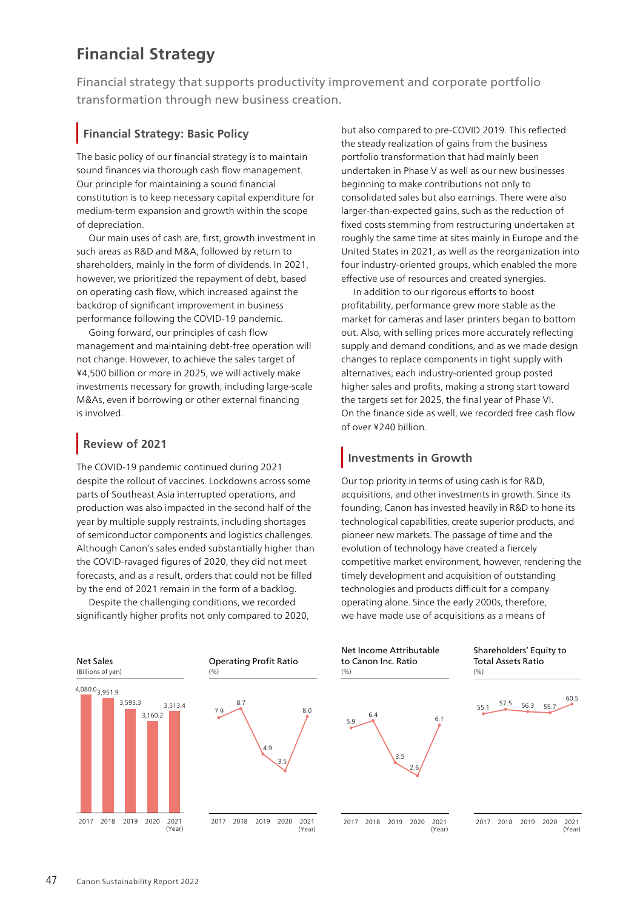# **Financial Strategy**

Financial strategy that supports productivity improvement and corporate portfolio transformation through new business creation.

### **Financial Strategy: Basic Policy**

The basic policy of our financial strategy is to maintain sound finances via thorough cash flow management. Our principle for maintaining a sound financial constitution is to keep necessary capital expenditure for medium-term expansion and growth within the scope of depreciation.

Our main uses of cash are, first, growth investment in such areas as R&D and M&A, followed by return to shareholders, mainly in the form of dividends. In 2021, however, we prioritized the repayment of debt, based on operating cash flow, which increased against the backdrop of significant improvement in business performance following the COVID-19 pandemic.

Going forward, our principles of cash flow management and maintaining debt-free operation will not change. However, to achieve the sales target of ¥4,500 billion or more in 2025, we will actively make investments necessary for growth, including large-scale M&As, even if borrowing or other external financing is involved.

### **Review of 2021**

The COVID-19 pandemic continued during 2021 despite the rollout of vaccines. Lockdowns across some parts of Southeast Asia interrupted operations, and production was also impacted in the second half of the year by multiple supply restraints, including shortages of semiconductor components and logistics challenges. Although Canon's sales ended substantially higher than the COVID-ravaged figures of 2020, they did not meet forecasts, and as a result, orders that could not be filled by the end of 2021 remain in the form of a backlog.

Despite the challenging conditions, we recorded significantly higher profits not only compared to 2020, but also compared to pre-COVID 2019. This reflected the steady realization of gains from the business portfolio transformation that had mainly been undertaken in Phase V as well as our new businesses beginning to make contributions not only to consolidated sales but also earnings. There were also larger-than-expected gains, such as the reduction of fixed costs stemming from restructuring undertaken at roughly the same time at sites mainly in Europe and the United States in 2021, as well as the reorganization into four industry-oriented groups, which enabled the more effective use of resources and created synergies.

In addition to our rigorous efforts to boost profitability, performance grew more stable as the market for cameras and laser printers began to bottom out. Also, with selling prices more accurately reflecting supply and demand conditions, and as we made design changes to replace components in tight supply with alternatives, each industry-oriented group posted higher sales and profits, making a strong start toward the targets set for 2025, the final year of Phase VI. On the finance side as well, we recorded free cash flow of over ¥240 billion.

## **Investments in Growth**

Our top priority in terms of using cash is for R&D, acquisitions, and other investments in growth. Since its founding, Canon has invested heavily in R&D to hone its technological capabilities, create superior products, and pioneer new markets. The passage of time and the evolution of technology have created a fiercely competitive market environment, however, rendering the timely development and acquisition of outstanding technologies and products difficult for a company operating alone. Since the early 2000s, therefore, we have made use of acquisitions as a means of